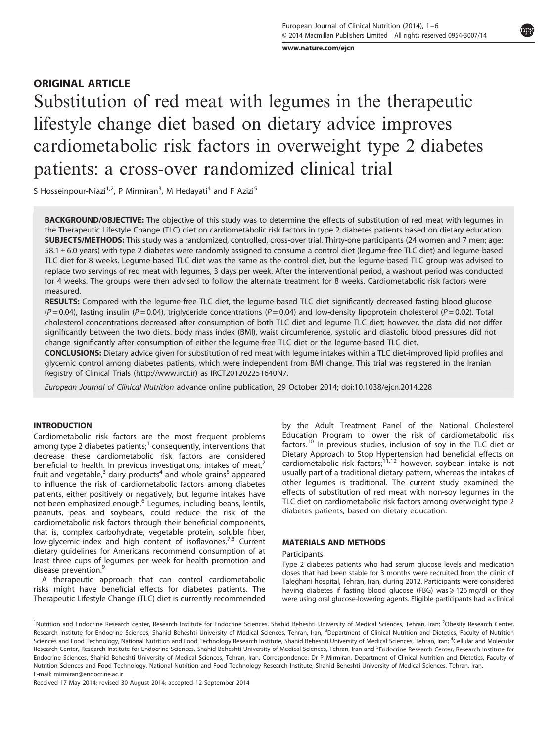[www.nature.com/ejcn](http://www.nature.com/ejcn)

# ORIGINAL ARTICLE

Substitution of red meat with legumes in the therapeutic lifestyle change diet based on dietary advice improves cardiometabolic risk factors in overweight type 2 diabetes patients: a cross-over randomized clinical trial

S Hosseinpour-Niazi<sup>1,2</sup>, P Mirmiran<sup>3</sup>, M Hedayati<sup>4</sup> and F Azizi<sup>5</sup>

BACKGROUND/OBJECTIVE: The objective of this study was to determine the effects of substitution of red meat with legumes in the Therapeutic Lifestyle Change (TLC) diet on cardiometabolic risk factors in type 2 diabetes patients based on dietary education. SUBJECTS/METHODS: This study was a randomized, controlled, cross-over trial. Thirty-one participants (24 women and 7 men; age: 58.1 ± 6.0 years) with type 2 diabetes were randomly assigned to consume a control diet (legume-free TLC diet) and legume-based TLC diet for 8 weeks. Legume-based TLC diet was the same as the control diet, but the legume-based TLC group was advised to replace two servings of red meat with legumes, 3 days per week. After the interventional period, a washout period was conducted for 4 weeks. The groups were then advised to follow the alternate treatment for 8 weeks. Cardiometabolic risk factors were measured.

RESULTS: Compared with the legume-free TLC diet, the legume-based TLC diet significantly decreased fasting blood glucose  $(P=0.04)$ , fasting insulin  $(P=0.04)$ , triglyceride concentrations  $(P=0.04)$  and low-density lipoprotein cholesterol  $(P=0.02)$ . Total cholesterol concentrations decreased after consumption of both TLC diet and legume TLC diet; however, the data did not differ significantly between the two diets. body mass index (BMI), waist circumference, systolic and diastolic blood pressures did not change significantly after consumption of either the legume-free TLC diet or the legume-based TLC diet.

CONCLUSIONS: Dietary advice given for substitution of red meat with legume intakes within a TLC diet-improved lipid profiles and glycemic control among diabetes patients, which were independent from BMI change. This trial was registered in the Iranian Registry of Clinical Trials [\(http://www.irct.ir\)](http://www.irct.ir) as IRCT201202251640N7.

European Journal of Clinical Nutrition advance online publication, 29 October 2014; doi:[10.1038/ejcn.2014.228](http://dx.doi.org/10.1038/ejcn.2014.228)

### INTRODUCTION

Cardiometabolic risk factors are the most frequent problems among type 2 diabetes patients;<sup>[1](#page-4-0)</sup> consequently, interventions that decrease these cardiometabolic risk factors are considered beneficial to health. In previous investigations, intakes of meat, $2$ fruit and vegetable, $3$  dairy products<sup>[4](#page-4-0)</sup> and whole grains<sup>[5](#page-4-0)</sup> appeared to influence the risk of cardiometabolic factors among diabetes patients, either positively or negatively, but legume intakes have not been emphasized enough.<sup>[6](#page-4-0)</sup> Legumes, including beans, lentils, peanuts, peas and soybeans, could reduce the risk of the cardiometabolic risk factors through their beneficial components, that is, complex carbohydrate, vegetable protein, soluble fiber, low-glycemic-index and high content of isoflavones.<sup>[7](#page-4-0),[8](#page-4-0)</sup> Current dietary guidelines for Americans recommend consumption of at least three cups of legumes per week for health promotion and disease prevention.<sup>[9](#page-4-0)</sup>

A therapeutic approach that can control cardiometabolic risks might have beneficial effects for diabetes patients. The Therapeutic Lifestyle Change (TLC) diet is currently recommended by the Adult Treatment Panel of the National Cholesterol Education Program to lower the risk of cardiometabolic risk factors.[10](#page-5-0) In previous studies, inclusion of soy in the TLC diet or Dietary Approach to Stop Hypertension had beneficial effects on cardiometabolic risk factors;<sup>[11,12](#page-5-0)</sup> however, soybean intake is not usually part of a traditional dietary pattern, whereas the intakes of other legumes is traditional. The current study examined the effects of substitution of red meat with non-soy legumes in the TLC diet on cardiometabolic risk factors among overweight type 2 diabetes patients, based on dietary education.

### MATERIALS AND METHODS

### Participants

Type 2 diabetes patients who had serum glucose levels and medication doses that had been stable for 3 months were recruited from the clinic of Taleghani hospital, Tehran, Iran, during 2012. Participants were considered having diabetes if fasting blood glucose (FBG) was  $\geq$  126 mg/dl or they were using oral glucose-lowering agents. Eligible participants had a clinical

Received 17 May 2014; revised 30 August 2014; accepted 12 September 2014

<sup>&</sup>lt;sup>1</sup>Nutrition and Endocrine Research center, Research Institute for Endocrine Sciences, Shahid Beheshti University of Medical Sciences, Tehran, Iran; <sup>2</sup>Obesity Research Center, Research Institute for Endocrine Sciences, Shahid Beheshti University of Medical Sciences, Tehran, Iran; <sup>3</sup>Department of Clinical Nutrition and Dietetics, Faculty of Nutrition Sciences and Food Technology, National Nutrition and Food Technology Research Institute, Shahid Beheshti University of Medical Sciences, Tehran, Iran; <sup>4</sup>Cellular and Molecular Research Center, Research Institute for Endocrine Sciences, Shahid Beheshti University of Medical Sciences, Tehran, Iran and <sup>5</sup>Endocrine Research Center, Research Institute for Endocrine Sciences, Shahid Beheshti University of Medical Sciences, Tehran, Iran. Correspondence: Dr P Mirmiran, Department of Clinical Nutrition and Dietetics, Faculty of Nutrition Sciences and Food Technology, National Nutrition and Food Technology Research Institute, Shahid Beheshti University of Medical Sciences, Tehran, Iran. E-mail: [mirmiran@endocrine.ac.ir](mailto:mirmiran@endocrine.ac.ir)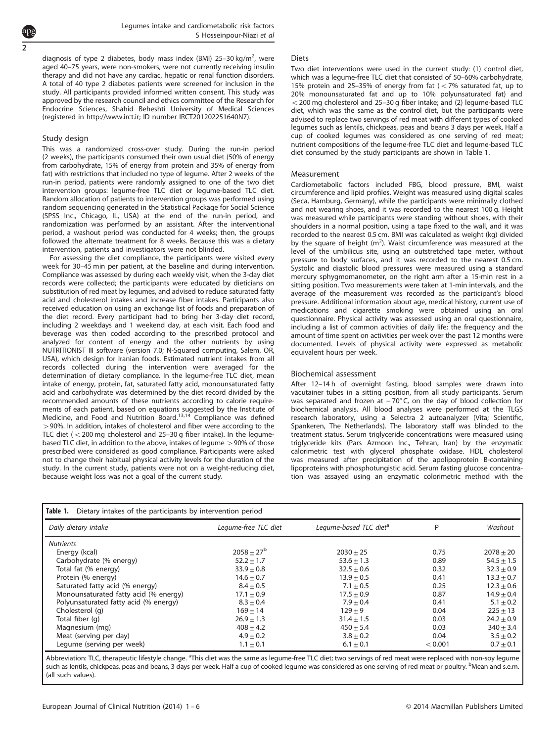Legumes intake and cardiometabolic risk factors S Hosseinpour-Niazi et al

diagnosis of type 2 diabetes, body mass index (BMI) 25-30 kg/m<sup>2</sup>, were aged 40–75 years, were non-smokers, were not currently receiving insulin therapy and did not have any cardiac, hepatic or renal function disorders. A total of 40 type 2 diabetes patients were screened for inclusion in the study. All participants provided informed written consent. This study was approved by the research council and ethics committee of the Research for Endocrine Sciences, Shahid Beheshti University of Medical Sciences (registered in [http://www.irct.ir;](http://www.irct.ir) ID number IRCT201202251640N7).

#### Study design

<span id="page-1-0"></span>2

This was a randomized cross-over study. During the run-in period (2 weeks), the participants consumed their own usual diet (50% of energy from carbohydrate, 15% of energy from protein and 35% of energy from fat) with restrictions that included no type of legume. After 2 weeks of the run-in period, patients were randomly assigned to one of the two diet intervention groups: legume-free TLC diet or legume-based TLC diet. Random allocation of patients to intervention groups was performed using random sequencing generated in the Statistical Package for Social Science (SPSS Inc., Chicago, IL, USA) at the end of the run-in period, and randomization was performed by an assistant. After the interventional period, a washout period was conducted for 4 weeks; then, the groups followed the alternate treatment for 8 weeks. Because this was a dietary intervention, patients and investigators were not blinded.

For assessing the diet compliance, the participants were visited every week for 30–45 min per patient, at the baseline and during intervention. Compliance was assessed by during each weekly visit, when the 3-day diet records were collected; the participants were educated by dieticians on substitution of red meat by legumes, and advised to reduce saturated fatty acid and cholesterol intakes and increase fiber intakes. Participants also received education on using an exchange list of foods and preparation of the diet record. Every participant had to bring her 3-day diet record, including 2 weekdays and 1 weekend day, at each visit. Each food and beverage was then coded according to the prescribed protocol and analyzed for content of energy and the other nutrients by using NUTRITIONIST III software (version 7.0; N-Squared computing, Salem, OR, USA), which design for Iranian foods. Estimated nutrient intakes from all records collected during the intervention were averaged for the determination of dietary compliance. In the legume-free TLC diet, mean intake of energy, protein, fat, saturated fatty acid, monounsaturated fatty acid and carbohydrate was determined by the diet record divided by the recommended amounts of these nutrients according to calorie requirements of each patient, based on equations suggested by the Institute of Medicine, and Food and Nutrition Board[.13](#page-5-0),[14](#page-5-0) Compliance was defined >90%. In addition, intakes of cholesterol and fiber were according to the TLC diet ( $<$  200 mg cholesterol and 25–30 g fiber intake). In the legumebased TLC diet, in addition to the above, intakes of legume > 90% of those prescribed were considered as good compliance. Participants were asked not to change their habitual physical activity levels for the duration of the study. In the current study, patients were not on a weight-reducing diet, because weight loss was not a goal of the current study.

#### **Diets**

Two diet interventions were used in the current study: (1) control diet, which was a legume-free TLC diet that consisted of 50–60% carbohydrate, 15% protein and 25-35% of energy from fat  $(< 7\%$  saturated fat, up to 20% monounsaturated fat and up to 10% polyunsaturated fat) and  $<$  200 mg cholesterol and 25–30 g fiber intake; and (2) legume-based TLC diet, which was the same as the control diet, but the participants were advised to replace two servings of red meat with different types of cooked legumes such as lentils, chickpeas, peas and beans 3 days per week. Half a cup of cooked legumes was considered as one serving of red meat; nutrient compositions of the legume-free TLC diet and legume-based TLC diet consumed by the study participants are shown in Table 1.

#### Measurement

Cardiometabolic factors included FBG, blood pressure, BMI, waist circumference and lipid profiles. Weight was measured using digital scales (Seca, Hamburg, Germany), while the participants were minimally clothed and not wearing shoes, and it was recorded to the nearest 100 g. Height was measured while participants were standing without shoes, with their shoulders in a normal position, using a tape fixed to the wall, and it was recorded to the nearest 0.5 cm. BMI was calculated as weight (kg) divided by the square of height  $(m<sup>2</sup>)$ . Waist circumference was measured at the level of the umbilicus site, using an outstretched tape meter, without pressure to body surfaces, and it was recorded to the nearest 0.5 cm. Systolic and diastolic blood pressures were measured using a standard mercury sphygmomanometer, on the right arm after a 15-min rest in a sitting position. Two measurements were taken at 1-min intervals, and the average of the measurement was recorded as the participant's blood pressure. Additional information about age, medical history, current use of medications and cigarette smoking were obtained using an oral questionnaire. Physical activity was assessed using an oral questionnaire, including a list of common activities of daily life; the frequency and the amount of time spent on activities per week over the past 12 months were documented. Levels of physical activity were expressed as metabolic equivalent hours per week.

#### Biochemical assessment

After 12–14 h of overnight fasting, blood samples were drawn into vacutainer tubes in a sitting position, from all study participants. Serum was separated and frozen at −70°C, on the day of blood collection for biochemical analysis. All blood analyses were performed at the TLGS research laboratory, using a Selectra 2 autoanalyzer (Vita; Scientific, Spankeren, The Netherlands). The laboratory staff was blinded to the treatment status. Serum triglyceride concentrations were measured using triglyceride kits (Pars Azmoon Inc., Tehran, Iran) by the enzymatic calorimetric test with glycerol phosphate oxidase. HDL cholesterol was measured after precipitation of the apolipoprotein B-containing lipoproteins with phosphotungistic acid. Serum fasting glucose concentration was assayed using an enzymatic colorimetric method with the

| Table 1.<br>Dietary intakes of the participants by intervention period |                      |                                    |         |                |  |  |
|------------------------------------------------------------------------|----------------------|------------------------------------|---------|----------------|--|--|
| Daily dietary intake                                                   | Legume-free TLC diet | Legume-based TLC diet <sup>a</sup> | D       | Washout        |  |  |
| <b>Nutrients</b>                                                       |                      |                                    |         |                |  |  |
| Energy (kcal)                                                          | $2058 + 27^b$        | $2030 + 25$                        | 0.75    | $2078 \pm 20$  |  |  |
| Carbohydrate (% energy)                                                | $52.2 + 1.7$         | $53.6 + 1.3$                       | 0.89    | $54.5 + 1.5$   |  |  |
| Total fat (% energy)                                                   | $33.9 \pm 0.8$       | $32.5 + 0.6$                       | 0.32    | $32.3 \pm 0.9$ |  |  |
| Protein (% energy)                                                     | $14.6 \pm 0.7$       | $13.9 + 0.5$                       | 0.41    | $13.3 \pm 0.7$ |  |  |
| Saturated fatty acid (% energy)                                        | $8.4 \pm 0.5$        | $7.1 + 0.5$                        | 0.25    | $12.3 \pm 0.6$ |  |  |
| Monounsaturated fatty acid (% energy)                                  | $17.1 \pm 0.9$       | $17.5 + 0.9$                       | 0.87    | $14.9 \pm 0.4$ |  |  |
| Polyunsaturated fatty acid (% energy)                                  | $8.3 \pm 0.4$        | $7.9 + 0.4$                        | 0.41    | $5.1 \pm 0.2$  |  |  |
| Cholesterol (q)                                                        | $169 + 14$           | $129 + 9$                          | 0.04    | $225 \pm 13$   |  |  |
| Total fiber (q)                                                        | $26.9 \pm 1.3$       | $31.4 \pm 1.5$                     | 0.03    | $24.2 \pm 0.9$ |  |  |
| Magnesium (mg)                                                         | $408 \pm 4.2$        | $450 \pm 5.4$                      | 0.03    | $340 \pm 3.4$  |  |  |
| Meat (serving per day)                                                 | $4.9 + 0.2$          | $3.8 + 0.2$                        | 0.04    | $3.5 \pm 0.2$  |  |  |
| Legume (serving per week)                                              | $1.1 \pm 0.1$        | $6.1 \pm 0.1$                      | < 0.001 | $0.7 \pm 0.1$  |  |  |

Abbreviation: TLC, therapeutic lifestyle change. <sup>a</sup>This diet was the same as legume-free TLC diet; two servings of red meat were replaced with non-soy legume such as lentils, chickpeas, peas and beans, 3 days per week. Half a cup of cooked legume was considered as one serving of red meat or poultry. <sup>b</sup>Mean and s.e.m. (all such values).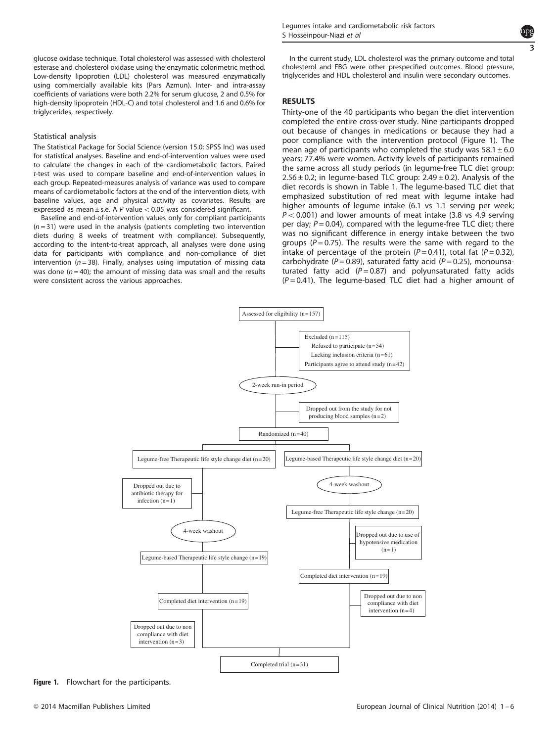glucose oxidase technique. Total cholesterol was assessed with cholesterol esterase and cholesterol oxidase using the enzymatic colorimetric method. Low-density lipoprotien (LDL) cholesterol was measured enzymatically using commercially available kits (Pars Azmun). Inter- and intra-assay coefficients of variations were both 2.2% for serum glucose, 2 and 0.5% for high-density lipoprotein (HDL-C) and total cholesterol and 1.6 and 0.6% for triglycerides, respectively.

### Statistical analysis

The Statistical Package for Social Science (version 15.0; SPSS Inc) was used for statistical analyses. Baseline and end-of-intervention values were used to calculate the changes in each of the cardiometabolic factors. Paired t-test was used to compare baseline and end-of-intervention values in each group. Repeated-measures analysis of variance was used to compare means of cardiometabolic factors at the end of the intervention diets, with baseline values, age and physical activity as covariates. Results are expressed as mean  $\pm$  s.e. A P value < 0.05 was considered significant.

Baseline and end-of-intervention values only for compliant participants  $(n=31)$  were used in the analysis (patients completing two intervention diets during 8 weeks of treatment with compliance). Subsequently, according to the intent-to-treat approach, all analyses were done using data for participants with compliance and non-compliance of diet intervention ( $n = 38$ ). Finally, analyses using imputation of missing data was done ( $n = 40$ ); the amount of missing data was small and the results were consistent across the various approaches.



In the current study, LDL cholesterol was the primary outcome and total cholesterol and FBG were other prespecified outcomes. Blood pressure, triglycerides and HDL cholesterol and insulin were secondary outcomes.

### RESULTS

Thirty-one of the 40 participants who began the diet intervention completed the entire cross-over study. Nine participants dropped out because of changes in medications or because they had a poor compliance with the intervention protocol (Figure 1). The mean age of participants who completed the study was  $58.1 \pm 6.0$ years; 77.4% were women. Activity levels of participants remained the same across all study periods (in legume-free TLC diet group:  $2.56 \pm 0.2$ ; in legume-based TLC group:  $2.49 \pm 0.2$ ). Analysis of the diet records is shown in [Table 1](#page-1-0). The legume-based TLC diet that emphasized substitution of red meat with legume intake had higher amounts of legume intake (6.1 vs 1.1 serving per week;  $P < 0.001$ ) and lower amounts of meat intake (3.8 vs 4.9 serving per day;  $P = 0.04$ ), compared with the legume-free TLC diet; there was no significant difference in energy intake between the two groups ( $P = 0.75$ ). The results were the same with regard to the intake of percentage of the protein ( $P = 0.41$ ), total fat ( $P = 0.32$ ), carbohydrate ( $P = 0.89$ ), saturated fatty acid ( $P = 0.25$ ), monounsaturated fatty acid  $(P = 0.87)$  and polyunsaturated fatty acids  $(P = 0.41)$ . The legume-based TLC diet had a higher amount of



Figure 1. Flowchart for the participants.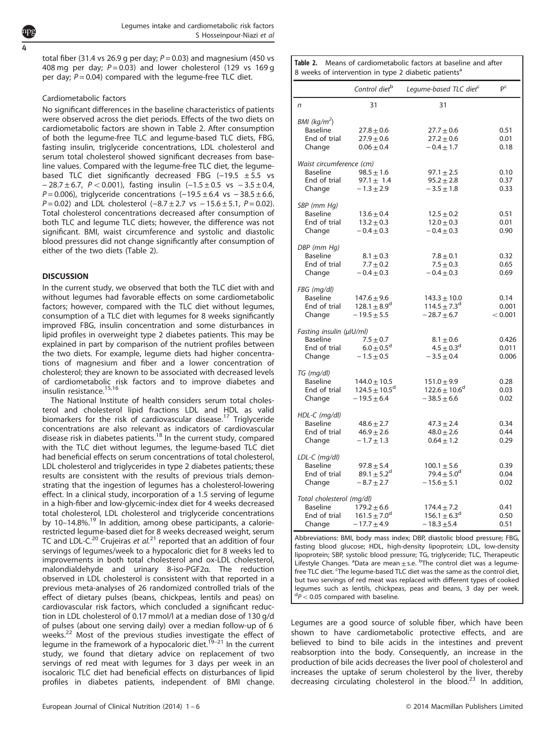total fiber (31.4 vs 26.9 g per day;  $P = 0.03$ ) and magnesium (450 vs 408 mg per day;  $P = 0.03$ ) and lower cholesterol (129 vs 169 g per day;  $P = 0.04$ ) compared with the legume-free TLC diet.

## Cardiometabolic factors

No significant differences in the baseline characteristics of patients were observed across the diet periods. Effects of the two diets on cardiometabolic factors are shown in Table 2. After consumption of both the legume-free TLC and legume-based TLC diets, FBG, fasting insulin, triglyceride concentrations, LDL cholesterol and serum total cholesterol showed significant decreases from baseline values. Compared with the legume-free TLC diet, the legumebased TLC diet significantly decreased FBG (-19.5 ± 5.5 vs − 28.7 ± 6.7, P < 0.001), fasting insulin (-1.5 ± 0.5 vs - 3.5 ± 0.4,  $P = 0.006$ ), triglyceride concentrations  $(-19.5 \pm 6.4 \text{ vs } -38.5 \pm 6.6,$  $P = 0.02$ ) and LDL cholesterol (-8.7 ± 2.7 vs - 15.6 ± 5.1,  $P = 0.02$ ). Total cholesterol concentrations decreased after consumption of both TLC and legume TLC diets; however, the difference was not significant. BMI, waist circumference and systolic and diastolic blood pressures did not change significantly after consumption of either of the two diets (Table 2).

# **DISCUSSION**

In the current study, we observed that both the TLC diet with and without legumes had favorable effects on some cardiometabolic factors; however, compared with the TLC diet without legumes, consumption of a TLC diet with legumes for 8 weeks significantly improved FBG, insulin concentration and some disturbances in lipid profiles in overweight type 2 diabetes patients. This may be explained in part by comparison of the nutrient profiles between the two diets. For example, legume diets had higher concentrations of magnesium and fiber and a lower concentration of cholesterol; they are known to be associated with decreased levels of cardiometabolic risk factors and to improve diabetes and insulin resistance.[15,16](#page-5-0)

The National Institute of health considers serum total cholesterol and cholesterol lipid fractions LDL and HDL as valid biomarkers for the risk of cardiovascular disease.<sup>[17](#page-5-0)</sup> Triglyceride concentrations are also relevant as indicators of cardiovascular disease risk in diabetes patients.<sup>[18](#page-5-0)</sup> In the current study, compared with the TLC diet without legumes, the legume-based TLC diet had beneficial effects on serum concentrations of total cholesterol, LDL cholesterol and triglycerides in type 2 diabetes patients; these results are consistent with the results of previous trials demonstrating that the ingestion of legumes has a cholesterol-lowering effect. In a clinical study, incorporation of a 1.5 serving of legume in a high-fiber and low-glycemic-index diet for 4 weeks decreased total cholesterol, LDL cholesterol and triglyceride concentrations by 10-14.8%.<sup>[19](#page-5-0)</sup> In addition, among obese participants, a calorierestricted legume-based diet for 8 weeks decreased weight, serum TC and LDL-C.<sup>[20](#page-5-0)</sup> Crujeiras et  $al$ .<sup>[21](#page-5-0)</sup> reported that an addition of four servings of legumes/week to a hypocaloric diet for 8 weeks led to improvements in both total cholesterol and ox-LDL cholesterol, malondialdehyde and urinary 8-iso-PGF2α. The reduction observed in LDL cholesterol is consistent with that reported in a previous meta-analyses of 26 randomized controlled trials of the effect of dietary pulses (beans, chickpeas, lentils and peas) on cardiovascular risk factors, which concluded a significant reduction in LDL cholesterol of 0.17 mmol/l at a median dose of 130 g/d of pulses (about one serving daily) over a median follow-up of 6 weeks.<sup>22</sup> Most of the previous studies investigate the effect of legume in the framework of a hypocaloric diet.<sup>19-21</sup> In the current study, we found that dietary advice on replacement of two servings of red meat with legumes for 3 days per week in an isocaloric TLC diet had beneficial effects on disturbances of lipid profiles in diabetes patients, independent of BMI change.

|                                              | Control diet <sup>b</sup>                  | Legume-based TLC diet <sup>c</sup>             | pc               |
|----------------------------------------------|--------------------------------------------|------------------------------------------------|------------------|
| n                                            | 31                                         | 31                                             |                  |
| BMI (kg/m <sup>2</sup> )                     |                                            |                                                |                  |
| Baseline                                     | $27.8 \pm 0.6$                             | $27.7 \pm 0.6$                                 | 0.51             |
| End of trial                                 | $27.9 \pm 0.6$                             | $27.2 \pm 0.6$                                 | 0.01             |
| Change                                       | $0.06 \pm 0.4$                             | $-0.4 \pm 1.7$                                 | 0.18             |
| Waist circumference (cm)                     |                                            |                                                |                  |
| <b>Baseline</b>                              | $98.5 \pm 1.6$                             | $97.1 \pm 2.5$                                 | 0.10             |
| End of trial                                 | $97.1 \pm 1.4$                             | $95.2 \pm 2.8$                                 | 0.37             |
| Change                                       | $-1.3 + 2.9$                               | $-3.5 + 1.8$                                   | 0.33             |
| SBP (mm Hq)                                  |                                            |                                                |                  |
| <b>Baseline</b>                              | $13.6 \pm 0.4$                             | $12.5 \pm 0.2$                                 | 0.51             |
| End of trial                                 | $13.2 \pm 0.3$                             | $12.0 \pm 0.3$                                 | 0.01             |
| Change                                       | $-0.4 \pm 0.3$                             | $-0.4 \pm 0.3$                                 | 0.90             |
| DBP (mm Hg)                                  |                                            |                                                |                  |
| <b>Baseline</b>                              | $8.1 \pm 0.3$                              | $7.8 \pm 0.1$                                  | 0.32             |
| End of trial                                 | $7.7 \pm 0.2$                              | $7.5 \pm 0.3$                                  | 0.65             |
| Change                                       | $-0.4 \pm 0.3$                             | $-0.4 \pm 0.3$                                 | 0.69             |
| FBG (mg/dl)                                  |                                            |                                                |                  |
| Baseline                                     | $147.6 \pm 9.6$                            | $143.3 \pm 10.0$                               | 0.14             |
| End of trial                                 | $128.1 \pm 8.9^d$<br>$-19.5 + 5.5$         | $114.5 \pm 7.3^{\circ}$<br>$-28.7 + 6.7$       | 0.001<br>< 0.001 |
| Change                                       |                                            |                                                |                  |
| Fasting insulin (µlU/ml)                     |                                            |                                                |                  |
| Baseline                                     | $7.5 \pm 0.7$                              | $8.1 \pm 0.6$                                  | 0.426            |
| End of trial                                 | $6.0 \pm 0.5^{\rm d}$                      | $4.5 \pm 0.3$ <sup>d</sup>                     | 0.011            |
| Change                                       | $-1.5 \pm 0.5$                             | $-3.5 \pm 0.4$                                 | 0.006            |
| TG (mg/dl)                                   |                                            |                                                |                  |
| <b>Baseline</b>                              | $144.0 \pm 10.5$                           | $151.0 \pm 9.9$                                | 0.28             |
| End of trial                                 | $124.5 \pm 10.5^{\circ}$                   | $122.6 \pm 10.6^{\circ}$<br>$-38.5 \pm 6.6$    | 0.03             |
| Change                                       | $-19.5 \pm 6.4$                            |                                                | 0.02             |
| HDL-C (mg/dl)                                |                                            |                                                |                  |
| Baseline                                     | $48.6 \pm 2.7$                             | $47.3 \pm 2.4$                                 | 0.34             |
| End of trial                                 | $46.9 \pm 2.6$                             | $48.0 \pm 2.6$<br>$0.64 + 1.2$                 | 0.44<br>0.29     |
| Change                                       | $-1.7 \pm 1.3$                             |                                                |                  |
| LDL-C (mg/dl)                                |                                            |                                                |                  |
| <b>Baseline</b>                              | $97.8 \pm 5.4$                             | $100.1 \pm 5.6$                                | 0.39             |
| End of trial<br>Change                       | $89.1 \pm 5.2^{\circ}$<br>$-8.7 \pm 2.7$   | 79.4 $\pm$ 5.0 <sup>d</sup><br>$-15.6 \pm 5.1$ | 0.04<br>0.02     |
|                                              |                                            |                                                |                  |
| Total cholesterol (mg/dl)<br><b>Baseline</b> |                                            |                                                |                  |
| End of trial                                 | $179.2 \pm 6.6$<br>$161.5 \pm 7.0^{\circ}$ | $174.4 \pm 7.2$<br>$156.1 \pm 6.3^d$           | 0.41<br>0.50     |
| Change                                       | $-17.7 \pm 4.9$                            | $-18.3 + 5.4$                                  | 0.51             |
|                                              |                                            |                                                |                  |

Abbreviations: BMI, body mass index; DBP, diastolic blood pressure; FBG, fasting blood glucose; HDL, high-density lipoprotein; LDL, low-density lipoprotein; SBP, systolic blood pressure; TG, triglyceride; TLC, Therapeutic<br>Lifestyle Changes. <sup>a</sup>Data are mean±s.e. <sup>b</sup>The control diet was a legumefree TLC diet. <sup>c</sup>The legume-based TLC diet was the same as the control diet, but two servings of red meat was replaced with different types of cooked legumes such as lentils, chickpeas, peas and beans, 3 day per week.  $dP < 0.05$  compared with baseline.

Legumes are a good source of soluble fiber, which have been shown to have cardiometabolic protective effects, and are believed to bind to bile acids in the intestines and prevent reabsorption into the body. Consequently, an increase in the production of bile acids decreases the liver pool of cholesterol and increases the uptake of serum cholesterol by the liver, thereby decreasing circulating cholesterol in the blood.<sup>[23](#page-5-0)</sup> In addition,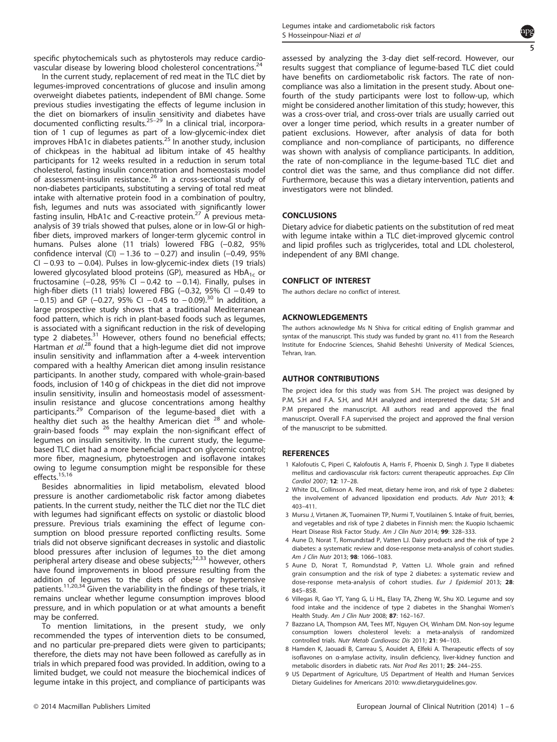<span id="page-4-0"></span>specific phytochemicals such as phytosterols may reduce cardiovascular disease by lowering blood cholesterol concentrations.[24](#page-5-0)

In the current study, replacement of red meat in the TLC diet by legumes-improved concentrations of glucose and insulin among overweight diabetes patients, independent of BMI change. Some previous studies investigating the effects of legume inclusion in the diet on biomarkers of insulin sensitivity and diabetes have documented conflicting results.<sup>25–[29](#page-5-0)</sup> In a clinical trial, incorporation of 1 cup of legumes as part of a low-glycemic-index diet improves HbA1c in diabetes patients.<sup>[25](#page-5-0)</sup> In another study, inclusion of chickpeas in the habitual ad libitum intake of 45 healthy participants for 12 weeks resulted in a reduction in serum total cholesterol, fasting insulin concentration and homeostasis model of assessment-insulin resistance.<sup>[26](#page-5-0)</sup> In a cross-sectional study of non-diabetes participants, substituting a serving of total red meat intake with alternative protein food in a combination of poultry, fish, legumes and nuts was associated with significantly lower fasting insulin, HbA1c and C-reactive protein.<sup>[27](#page-5-0)</sup> A previous metaanalysis of 39 trials showed that pulses, alone or in low-GI or highfiber diets, improved markers of longer-term glycemic control in humans. Pulses alone (11 trials) lowered FBG (-0.82, 95% confidence interval (CI)  $-1.36$  to  $-0.27$ ) and insulin (-0.49, 95% CI − 0.93 to − 0.04). Pulses in low-glycemic-index diets (19 trials) lowered glycosylated blood proteins (GP), measured as  $HbA_{1c}$  or fructosamine ( $-0.28$ , 95% CI  $-0.42$  to  $-0.14$ ). Finally, pulses in high-fiber diets (11 trials) lowered FBG (−0.32, 95% CI − 0.49 to − 0.15) and GP (−0.27, 95% CI − 0.45 to − 0.09).[30](#page-5-0) In addition, a large prospective study shows that a traditional Mediterranean food pattern, which is rich in plant-based foods such as legumes, is associated with a significant reduction in the risk of developing type 2 diabetes.<sup>[31](#page-5-0)</sup> However, others found no beneficial effects; Hartman et al.<sup>[28](#page-5-0)</sup> found that a high-legume diet did not improve insulin sensitivity and inflammation after a 4-week intervention compared with a healthy American diet among insulin resistance participants. In another study, compared with whole-grain-based foods, inclusion of 140 g of chickpeas in the diet did not improve insulin sensitivity, insulin and homeostasis model of assessmentinsulin resistance and glucose concentrations among healthy participants.<sup>[29](#page-5-0)</sup> Comparison of the legume-based diet with a healthy diet such as the healthy American diet <sup>[28](#page-5-0)</sup> and whole-grain-based foods <sup>[26](#page-5-0)</sup> may explain the non-significant effect of legumes on insulin sensitivity. In the current study, the legumebased TLC diet had a more beneficial impact on glycemic control; more fiber, magnesium, phytoestrogen and isoflavone intakes owing to legume consumption might be responsible for these effects.<sup>[15](#page-5-0),[16](#page-5-0)</sup>

Besides abnormalities in lipid metabolism, elevated blood pressure is another cardiometabolic risk factor among diabetes patients. In the current study, neither the TLC diet nor the TLC diet with legumes had significant effects on systolic or diastolic blood pressure. Previous trials examining the effect of legume consumption on blood pressure reported conflicting results. Some trials did not observe significant decreases in systolic and diastolic blood pressures after inclusion of legumes to the diet among peripheral artery disease and obese subjects;[32](#page-5-0),[33](#page-5-0) however, others have found improvements in blood pressure resulting from the addition of legumes to the diets of obese or hypertensive patients.[11,20,34](#page-5-0) Given the variability in the findings of these trials, it remains unclear whether legume consumption improves blood pressure, and in which population or at what amounts a benefit may be conferred.

To mention limitations, in the present study, we only recommended the types of intervention diets to be consumed, and no particular pre-prepared diets were given to participants; therefore, the diets may not have been followed as carefully as in trials in which prepared food was provided. In addition, owing to a limited budget, we could not measure the biochemical indices of legume intake in this project, and compliance of participants was



assessed by analyzing the 3-day diet self-record. However, our results suggest that compliance of legume-based TLC diet could have benefits on cardiometabolic risk factors. The rate of noncompliance was also a limitation in the present study. About onefourth of the study participants were lost to follow-up, which might be considered another limitation of this study; however, this was a cross-over trial, and cross-over trials are usually carried out over a longer time period, which results in a greater number of patient exclusions. However, after analysis of data for both compliance and non-compliance of participants, no difference was shown with analysis of compliance participants. In addition, the rate of non-compliance in the legume-based TLC diet and control diet was the same, and thus compliance did not differ. Furthermore, because this was a dietary intervention, patients and investigators were not blinded.

### **CONCLUSIONS**

Dietary advice for diabetic patients on the substitution of red meat with legume intake within a TLC diet-improved glycemic control and lipid profiles such as triglycerides, total and LDL cholesterol, independent of any BMI change.

#### CONFLICT OF INTEREST

The authors declare no conflict of interest.

#### ACKNOWLEDGEMENTS

The authors acknowledge Ms N Shiva for critical editing of English grammar and syntax of the manuscript. This study was funded by grant no. 411 from the Research Institute for Endocrine Sciences, Shahid Beheshti University of Medical Sciences, Tehran, Iran.

### AUTHOR CONTRIBUTIONS

The project idea for this study was from S.H. The project was designed by P.M, S.H and F.A. S.H, and M.H analyzed and interpreted the data; S.H and P.M prepared the manuscript. All authors read and approved the final manuscript. Overall F.A supervised the project and approved the final version of the manuscript to be submitted.

#### REFERENCES

- 1 Kalofoutis C, Piperi C, Kalofoutis A, Harris F, Phoenix D, Singh J. Type II diabetes mellitus and cardiovascular risk factors: current therapeutic approaches. Exp Clin Cardiol 2007; 12: 17–28.
- 2 White DL, Collinson A. Red meat, dietary heme iron, and risk of type 2 diabetes: the involvement of advanced lipoxidation end products. Adv Nutr 2013; 4: 403–411.
- 3 Mursu J, Virtanen JK, Tuomainen TP, Nurmi T, Voutilainen S. Intake of fruit, berries, and vegetables and risk of type 2 diabetes in Finnish men: the Kuopio Ischaemic Heart Disease Risk Factor Study. Am J Clin Nutr 2014; 99: 328-333.
- 4 Aune D, Norat T, Romundstad P, Vatten LJ. Dairy products and the risk of type 2 diabetes: a systematic review and dose-response meta-analysis of cohort studies. Am J Clin Nutr 2013: 98: 1066-1083.
- 5 Aune D, Norat T, Romundstad P, Vatten LJ. Whole grain and refined grain consumption and the risk of type 2 diabetes: a systematic review and dose-response meta-analysis of cohort studies. Eur J Epidemiol 2013; 28: 845–858.
- 6 Villegas R, Gao YT, Yang G, Li HL, Elasy TA, Zheng W, Shu XO. Legume and soy food intake and the incidence of type 2 diabetes in the Shanghai Women's Health Study. Am J Clin Nutr 2008; 87: 162–167.
- 7 Bazzano LA, Thompson AM, Tees MT, Nguyen CH, Winham DM. Non-soy legume consumption lowers cholesterol levels: a meta-analysis of randomized controlled trials. Nutr Metab Cardiovasc Dis 2011; 21: 94–103.
- 8 Hamden K, Jaouadi B, Carreau S, Aouidet A, Elfeki A. Therapeutic effects of soy isoflavones on α-amylase activity, insulin deficiency, liver-kidney function and metabolic disorders in diabetic rats. Nat Prod Res 2011; 25: 244–255.
- 9 US Department of Agriculture, US Department of Health and Human Services Dietary Guidelines for Americans 2010: [www.dietaryguidelines.gov.](www.dietaryguidelines.gov)